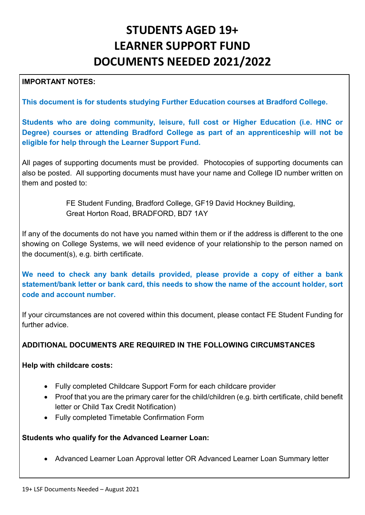# **STUDENTS AGED 19+ LEARNER SUPPORT FUND DOCUMENTS NEEDED 2021/2022**

#### **IMPORTANT NOTES:**

**This document is for students studying Further Education courses at Bradford College.** 

**Students who are doing community, leisure, full cost or Higher Education (i.e. HNC or Degree) courses or attending Bradford College as part of an apprenticeship will not be eligible for help through the Learner Support Fund.**

All pages of supporting documents must be provided. Photocopies of supporting documents can also be posted. All supporting documents must have your name and College ID number written on them and posted to:

> FE Student Funding, Bradford College, GF19 David Hockney Building, Great Horton Road, BRADFORD, BD7 1AY

If any of the documents do not have you named within them or if the address is different to the one showing on College Systems, we will need evidence of your relationship to the person named on the document(s), e.g. birth certificate.

**We need to check any bank details provided, please provide a copy of either a bank statement/bank letter or bank card, this needs to show the name of the account holder, sort code and account number.**

If your circumstances are not covered within this document, please contact FE Student Funding for further advice.

#### **ADDITIONAL DOCUMENTS ARE REQUIRED IN THE FOLLOWING CIRCUMSTANCES**

#### **Help with childcare costs:**

- Fully completed Childcare Support Form for each childcare provider
- Proof that you are the primary carer for the child/children (e.g. birth certificate, child benefit letter or Child Tax Credit Notification)
- Fully completed Timetable Confirmation Form

#### **Students who qualify for the Advanced Learner Loan:**

• Advanced Learner Loan Approval letter OR Advanced Learner Loan Summary letter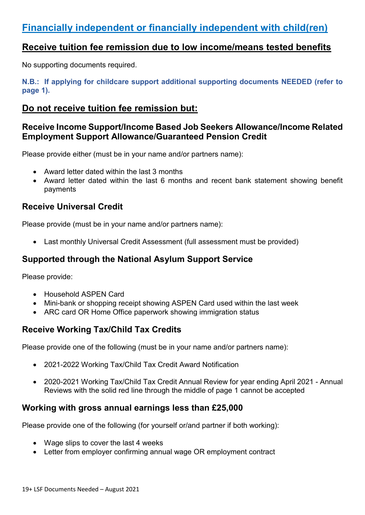# **Financially independent or financially independent with child(ren)**

## **Receive tuition fee remission due to low income/means tested benefits**

No supporting documents required.

**N.B.: If applying for childcare support additional supporting documents NEEDED (refer to page 1).**

## **Do not receive tuition fee remission but:**

#### **Receive Income Support/Income Based Job Seekers Allowance/Income Related Employment Support Allowance/Guaranteed Pension Credit**

Please provide either (must be in your name and/or partners name):

- Award letter dated within the last 3 months
- Award letter dated within the last 6 months and recent bank statement showing benefit payments

#### **Receive Universal Credit**

Please provide (must be in your name and/or partners name):

• Last monthly Universal Credit Assessment (full assessment must be provided)

#### **Supported through the National Asylum Support Service**

Please provide:

- Household ASPEN Card
- Mini-bank or shopping receipt showing ASPEN Card used within the last week
- ARC card OR Home Office paperwork showing immigration status

## **Receive Working Tax/Child Tax Credits**

Please provide one of the following (must be in your name and/or partners name):

- 2021-2022 Working Tax/Child Tax Credit Award Notification
- 2020-2021 Working Tax/Child Tax Credit Annual Review for year ending April 2021 Annual Reviews with the solid red line through the middle of page 1 cannot be accepted

#### **Working with gross annual earnings less than £25,000**

Please provide one of the following (for yourself or/and partner if both working):

- Wage slips to cover the last 4 weeks
- Letter from employer confirming annual wage OR employment contract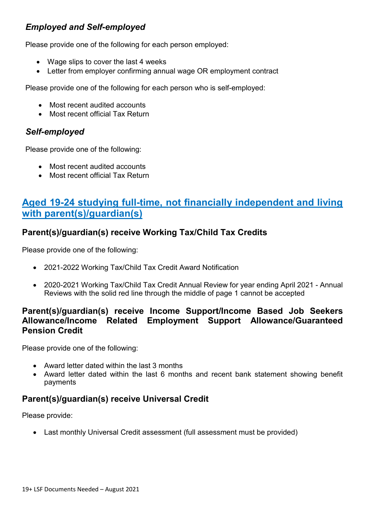#### *Employed and Self-employed*

Please provide one of the following for each person employed:

- Wage slips to cover the last 4 weeks
- Letter from employer confirming annual wage OR employment contract

Please provide one of the following for each person who is self-employed:

- Most recent audited accounts
- Most recent official Tax Return

#### *Self-employed*

Please provide one of the following:

- Most recent audited accounts
- Most recent official Tax Return

# **Aged 19-24 studying full-time, not financially independent and living with parent(s)/guardian(s)**

#### **Parent(s)/guardian(s) receive Working Tax/Child Tax Credits**

Please provide one of the following:

- 2021-2022 Working Tax/Child Tax Credit Award Notification
- 2020-2021 Working Tax/Child Tax Credit Annual Review for year ending April 2021 Annual Reviews with the solid red line through the middle of page 1 cannot be accepted

#### **Parent(s)/guardian(s) receive Income Support/Income Based Job Seekers Allowance/Income Related Employment Support Allowance/Guaranteed Pension Credit**

Please provide one of the following:

- Award letter dated within the last 3 months
- Award letter dated within the last 6 months and recent bank statement showing benefit payments

## **Parent(s)/guardian(s) receive Universal Credit**

Please provide:

• Last monthly Universal Credit assessment (full assessment must be provided)